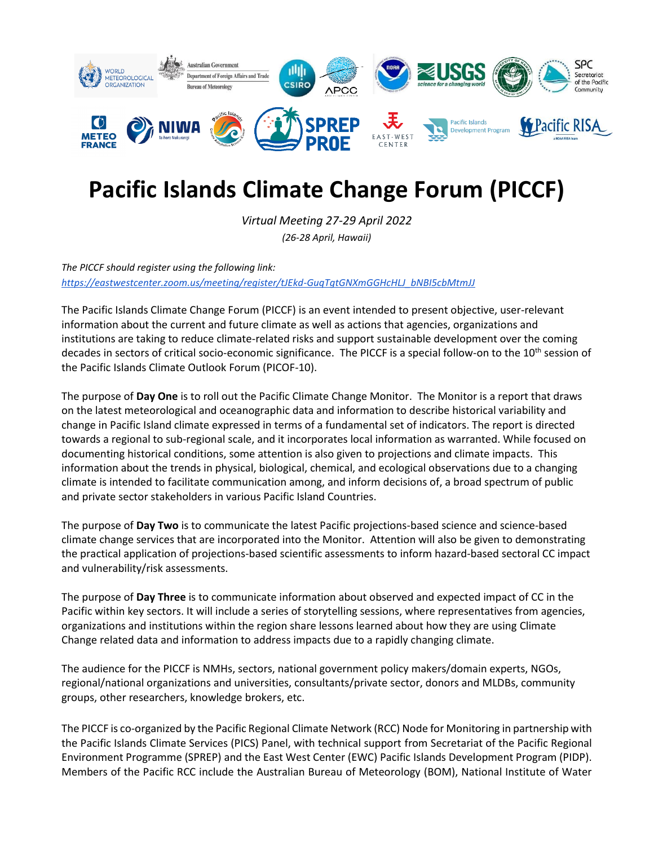

# **Pacific Islands Climate Change Forum (PICCF)**

*Virtual Meeting 27-29 April 2022 (26-28 April, Hawaii)*

*The PICCF should register using the following link: [https://eastwestcenter.zoom.us/meeting/register/tJEkd-GuqTgtGNXmGGHcHLJ\\_bNBI5cbMtmJJ](https://eastwestcenter.zoom.us/meeting/register/tJEkd-GuqTgtGNXmGGHcHLJ_bNBI5cbMtmJJ)*

The Pacific Islands Climate Change Forum (PICCF) is an event intended to present objective, user-relevant information about the current and future climate as well as actions that agencies, organizations and institutions are taking to reduce climate-related risks and support sustainable development over the coming decades in sectors of critical socio-economic significance. The PICCF is a special follow-on to the 10<sup>th</sup> session of the Pacific Islands Climate Outlook Forum (PICOF-10).

The purpose of **Day One** is to roll out the Pacific Climate Change Monitor. The Monitor is a report that draws on the latest meteorological and oceanographic data and information to describe historical variability and change in Pacific Island climate expressed in terms of a fundamental set of indicators. The report is directed towards a regional to sub-regional scale, and it incorporates local information as warranted. While focused on documenting historical conditions, some attention is also given to projections and climate impacts. This information about the trends in physical, biological, chemical, and ecological observations due to a changing climate is intended to facilitate communication among, and inform decisions of, a broad spectrum of public and private sector stakeholders in various Pacific Island Countries.

The purpose of **Day Two** is to communicate the latest Pacific projections-based science and science-based climate change services that are incorporated into the Monitor. Attention will also be given to demonstrating the practical application of projections-based scientific assessments to inform hazard-based sectoral CC impact and vulnerability/risk assessments.

The purpose of **Day Three** is to communicate information about observed and expected impact of CC in the Pacific within key sectors. It will include a series of storytelling sessions, where representatives from agencies, organizations and institutions within the region share lessons learned about how they are using Climate Change related data and information to address impacts due to a rapidly changing climate.

The audience for the PICCF is NMHs, sectors, national government policy makers/domain experts, NGOs, regional/national organizations and universities, consultants/private sector, donors and MLDBs, community groups, other researchers, knowledge brokers, etc.

The PICCF is co-organized by the Pacific Regional Climate Network (RCC) Node for Monitoring in partnership with the Pacific Islands Climate Services (PICS) Panel, with technical support from Secretariat of the Pacific Regional Environment Programme (SPREP) and the East West Center (EWC) Pacific Islands Development Program (PIDP). Members of the Pacific RCC include the Australian Bureau of Meteorology (BOM), National Institute of Water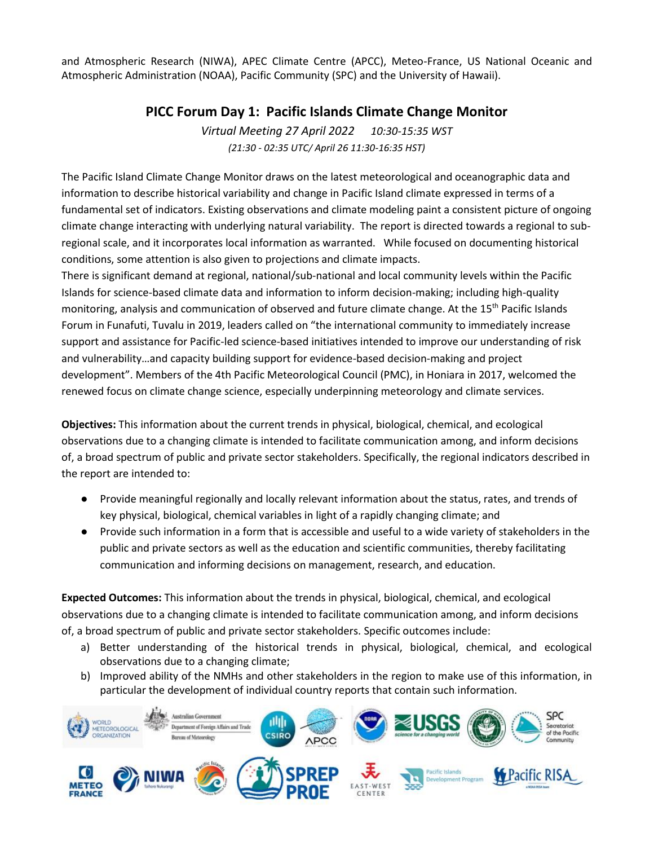and Atmospheric Research (NIWA), APEC Climate Centre (APCC), Meteo-France, US National Oceanic and Atmospheric Administration (NOAA), Pacific Community (SPC) and the University of Hawaii).

# **PICC Forum Day 1: Pacific Islands Climate Change Monitor**

*Virtual Meeting 27 April 2022 10:30-15:35 WST (21:30 - 02:35 UTC/ April 26 11:30-16:35 HST)*

The Pacific Island Climate Change Monitor draws on the latest meteorological and oceanographic data and information to describe historical variability and change in Pacific Island climate expressed in terms of a fundamental set of indicators. Existing observations and climate modeling paint a consistent picture of ongoing climate change interacting with underlying natural variability. The report is directed towards a regional to subregional scale, and it incorporates local information as warranted. While focused on documenting historical conditions, some attention is also given to projections and climate impacts.

There is significant demand at regional, national/sub-national and local community levels within the Pacific Islands for science-based climate data and information to inform decision-making; including high-quality monitoring, analysis and communication of observed and future climate change. At the 15<sup>th</sup> Pacific Islands Forum in Funafuti, Tuvalu in 2019, leaders called on "the international community to immediately increase support and assistance for Pacific-led science-based initiatives intended to improve our understanding of risk and vulnerability…and capacity building support for evidence-based decision-making and project development". Members of the 4th Pacific Meteorological Council (PMC), in Honiara in 2017, welcomed the renewed focus on climate change science, especially underpinning meteorology and climate services.

**Objectives:** This information about the current trends in physical, biological, chemical, and ecological observations due to a changing climate is intended to facilitate communication among, and inform decisions of, a broad spectrum of public and private sector stakeholders. Specifically, the regional indicators described in the report are intended to:

- Provide meaningful regionally and locally relevant information about the status, rates, and trends of key physical, biological, chemical variables in light of a rapidly changing climate; and
- Provide such information in a form that is accessible and useful to a wide variety of stakeholders in the public and private sectors as well as the education and scientific communities, thereby facilitating communication and informing decisions on management, research, and education.

**Expected Outcomes:** This information about the trends in physical, biological, chemical, and ecological observations due to a changing climate is intended to facilitate communication among, and inform decisions of, a broad spectrum of public and private sector stakeholders. Specific outcomes include:

- a) Better understanding of the historical trends in physical, biological, chemical, and ecological observations due to a changing climate;
- b) Improved ability of the NMHs and other stakeholders in the region to make use of this information, in particular the development of individual country reports that contain such information.

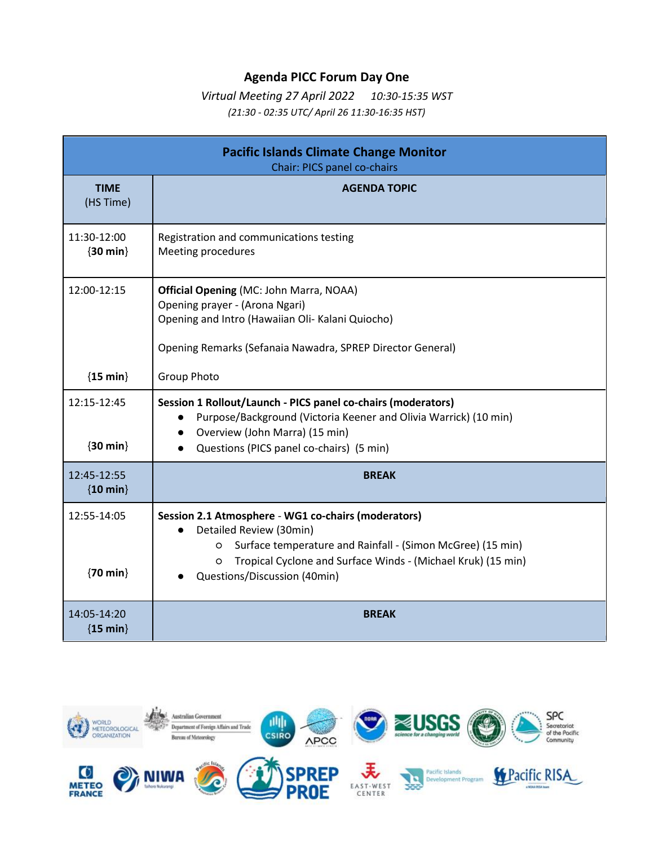#### **Agenda PICC Forum Day One**

*Virtual Meeting 27 April 2022 10:30-15:35 WST (21:30 - 02:35 UTC/ April 26 11:30-16:35 HST)*

| <b>Pacific Islands Climate Change Monitor</b><br>Chair: PICS panel co-chairs |                                                                                                                                                                                                                                                                    |
|------------------------------------------------------------------------------|--------------------------------------------------------------------------------------------------------------------------------------------------------------------------------------------------------------------------------------------------------------------|
| <b>TIME</b><br>(HS Time)                                                     | <b>AGENDA TOPIC</b>                                                                                                                                                                                                                                                |
| 11:30-12:00<br>$\{30 \text{ min}\}\$                                         | Registration and communications testing<br>Meeting procedures                                                                                                                                                                                                      |
| 12:00-12:15                                                                  | <b>Official Opening (MC: John Marra, NOAA)</b><br>Opening prayer - (Arona Ngari)<br>Opening and Intro (Hawaiian Oli- Kalani Quiocho)<br>Opening Remarks (Sefanaia Nawadra, SPREP Director General)                                                                 |
| ${15 min}$                                                                   | Group Photo                                                                                                                                                                                                                                                        |
| 12:15-12:45<br>${30 min}$                                                    | Session 1 Rollout/Launch - PICS panel co-chairs (moderators)<br>Purpose/Background (Victoria Keener and Olivia Warrick) (10 min)<br>$\bullet$<br>Overview (John Marra) (15 min)<br>Questions (PICS panel co-chairs) (5 min)                                        |
| 12:45-12:55<br>$\{10 \text{ min}\}\$                                         | <b>BREAK</b>                                                                                                                                                                                                                                                       |
| 12:55-14:05<br>${70 min}$                                                    | Session 2.1 Atmosphere - WG1 co-chairs (moderators)<br>Detailed Review (30min)<br>Surface temperature and Rainfall - (Simon McGree) (15 min)<br>$\circ$<br>Tropical Cyclone and Surface Winds - (Michael Kruk) (15 min)<br>$\circ$<br>Questions/Discussion (40min) |
| $14:05-14:20$<br>${15 min}$                                                  | <b>BREAK</b>                                                                                                                                                                                                                                                       |

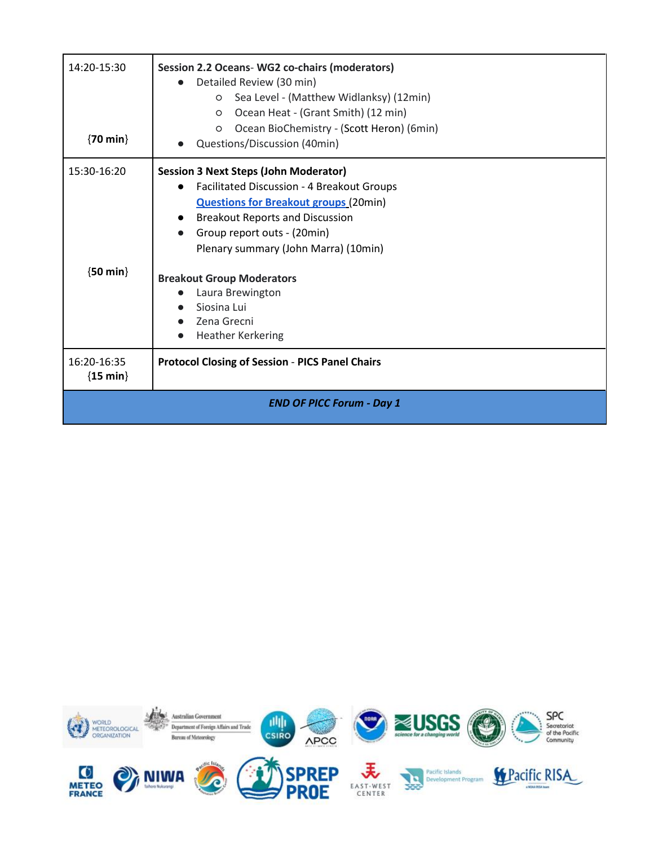| 14:20-15:30<br>$\{70 \text{ min}\}\$ | Session 2.2 Oceans-WG2 co-chairs (moderators)<br>Detailed Review (30 min)<br>Sea Level - (Matthew Widlanksy) (12min)<br>$\circ$<br>Ocean Heat - (Grant Smith) (12 min)<br>$\circ$<br>Ocean BioChemistry - (Scott Heron) (6min)<br>$\circ$<br>Questions/Discussion (40min)                                                                                                     |  |
|--------------------------------------|-------------------------------------------------------------------------------------------------------------------------------------------------------------------------------------------------------------------------------------------------------------------------------------------------------------------------------------------------------------------------------|--|
| 15:30-16:20<br>${50 min}$            | <b>Session 3 Next Steps (John Moderator)</b><br>Facilitated Discussion - 4 Breakout Groups<br><b>Questions for Breakout groups (20min)</b><br><b>Breakout Reports and Discussion</b><br>Group report outs - (20min)<br>Plenary summary (John Marra) (10min)<br><b>Breakout Group Moderators</b><br>Laura Brewington<br>Siosina Lui<br>Zena Grecni<br><b>Heather Kerkering</b> |  |
| 16:20-16:35<br>$\{15 \text{ min}\}\$ | <b>Protocol Closing of Session - PICS Panel Chairs</b>                                                                                                                                                                                                                                                                                                                        |  |
| <b>END OF PICC Forum - Day 1</b>     |                                                                                                                                                                                                                                                                                                                                                                               |  |

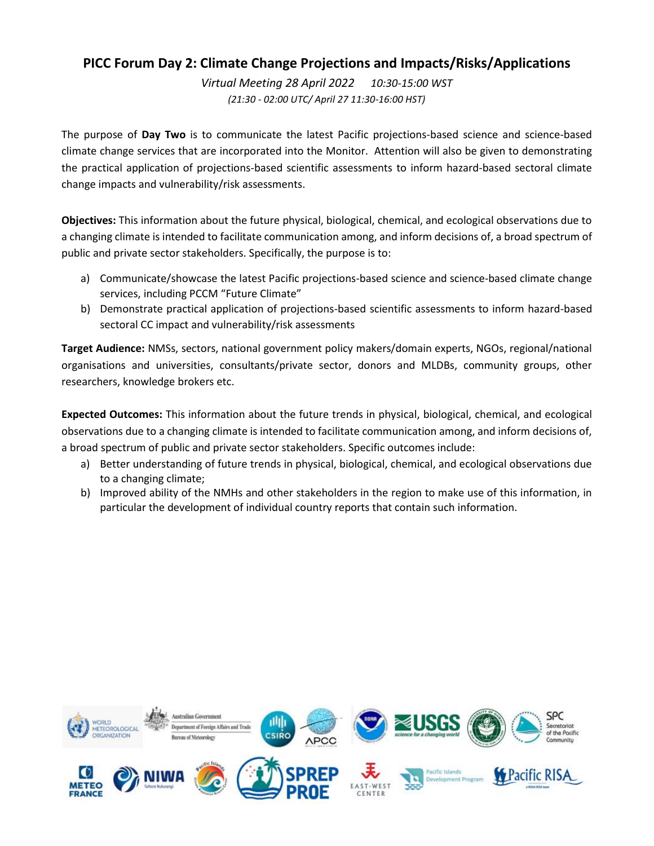# **PICC Forum Day 2: Climate Change Projections and Impacts/Risks/Applications**

*Virtual Meeting 28 April 2022 10:30-15:00 WST (21:30 - 02:00 UTC/ April 27 11:30-16:00 HST)*

The purpose of **Day Two** is to communicate the latest Pacific projections-based science and science-based climate change services that are incorporated into the Monitor. Attention will also be given to demonstrating the practical application of projections-based scientific assessments to inform hazard-based sectoral climate change impacts and vulnerability/risk assessments.

**Objectives:** This information about the future physical, biological, chemical, and ecological observations due to a changing climate is intended to facilitate communication among, and inform decisions of, a broad spectrum of public and private sector stakeholders. Specifically, the purpose is to:

- a) Communicate/showcase the latest Pacific projections-based science and science-based climate change services, including PCCM "Future Climate"
- b) Demonstrate practical application of projections-based scientific assessments to inform hazard-based sectoral CC impact and vulnerability/risk assessments

**Target Audience:** NMSs, sectors, national government policy makers/domain experts, NGOs, regional/national organisations and universities, consultants/private sector, donors and MLDBs, community groups, other researchers, knowledge brokers etc.

**Expected Outcomes:** This information about the future trends in physical, biological, chemical, and ecological observations due to a changing climate is intended to facilitate communication among, and inform decisions of, a broad spectrum of public and private sector stakeholders. Specific outcomes include:

- a) Better understanding of future trends in physical, biological, chemical, and ecological observations due to a changing climate;
- b) Improved ability of the NMHs and other stakeholders in the region to make use of this information, in particular the development of individual country reports that contain such information.

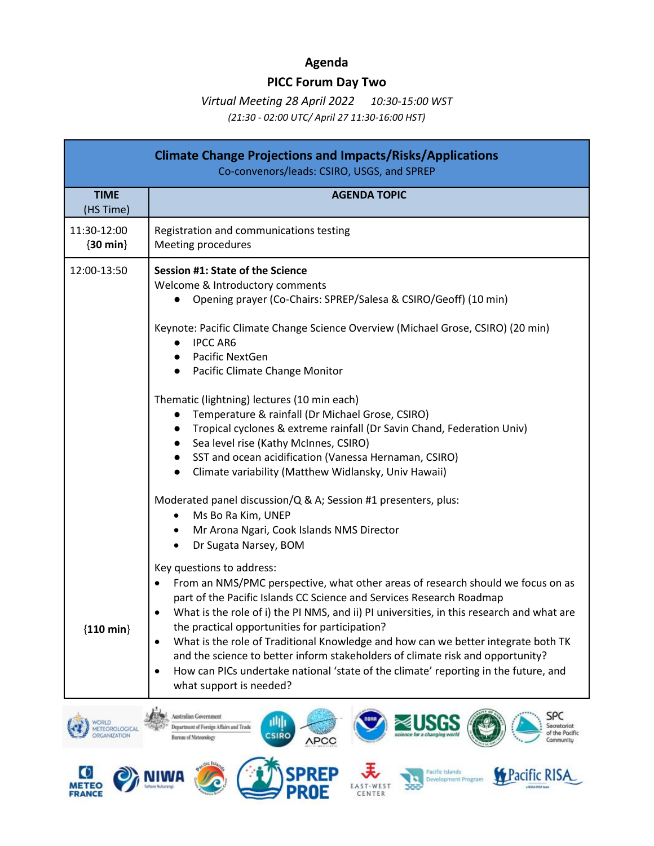# **Agenda**

### **PICC Forum Day Two**

*Virtual Meeting 28 April 2022 10:30-15:00 WST*

*(21:30 - 02:00 UTC/ April 27 11:30-16:00 HST)*

|                                      | <b>Climate Change Projections and Impacts/Risks/Applications</b><br>Co-convenors/leads: CSIRO, USGS, and SPREP                                                                                                                                                                                                                                                                                                                                                                                                                                                                                                                                 |
|--------------------------------------|------------------------------------------------------------------------------------------------------------------------------------------------------------------------------------------------------------------------------------------------------------------------------------------------------------------------------------------------------------------------------------------------------------------------------------------------------------------------------------------------------------------------------------------------------------------------------------------------------------------------------------------------|
| <b>TIME</b><br>(HS Time)             | <b>AGENDA TOPIC</b>                                                                                                                                                                                                                                                                                                                                                                                                                                                                                                                                                                                                                            |
| 11:30-12:00<br>$\{30 \text{ min}\}\$ | Registration and communications testing<br>Meeting procedures                                                                                                                                                                                                                                                                                                                                                                                                                                                                                                                                                                                  |
| 12:00-13:50                          | Session #1: State of the Science<br>Welcome & Introductory comments<br>Opening prayer (Co-Chairs: SPREP/Salesa & CSIRO/Geoff) (10 min)                                                                                                                                                                                                                                                                                                                                                                                                                                                                                                         |
|                                      | Keynote: Pacific Climate Change Science Overview (Michael Grose, CSIRO) (20 min)<br><b>IPCC AR6</b><br>$\bullet$<br>Pacific NextGen<br>$\bullet$<br>Pacific Climate Change Monitor<br>$\bullet$                                                                                                                                                                                                                                                                                                                                                                                                                                                |
|                                      | Thematic (lightning) lectures (10 min each)<br>Temperature & rainfall (Dr Michael Grose, CSIRO)<br>Tropical cyclones & extreme rainfall (Dr Savin Chand, Federation Univ)<br>Sea level rise (Kathy McInnes, CSIRO)<br>SST and ocean acidification (Vanessa Hernaman, CSIRO)<br>Climate variability (Matthew Widlansky, Univ Hawaii)<br>$\bullet$                                                                                                                                                                                                                                                                                               |
|                                      | Moderated panel discussion/Q & A; Session #1 presenters, plus:<br>Ms Bo Ra Kim, UNEP<br>Mr Arona Ngari, Cook Islands NMS Director<br>$\bullet$<br>Dr Sugata Narsey, BOM                                                                                                                                                                                                                                                                                                                                                                                                                                                                        |
| ${110 min}$                          | Key questions to address:<br>From an NMS/PMC perspective, what other areas of research should we focus on as<br>part of the Pacific Islands CC Science and Services Research Roadmap<br>What is the role of i) the PI NMS, and ii) PI universities, in this research and what are<br>٠<br>the practical opportunities for participation?<br>What is the role of Traditional Knowledge and how can we better integrate both TK<br>and the science to better inform stakeholders of climate risk and opportunity?<br>How can PICs undertake national 'state of the climate' reporting in the future, and<br>$\bullet$<br>what support is needed? |

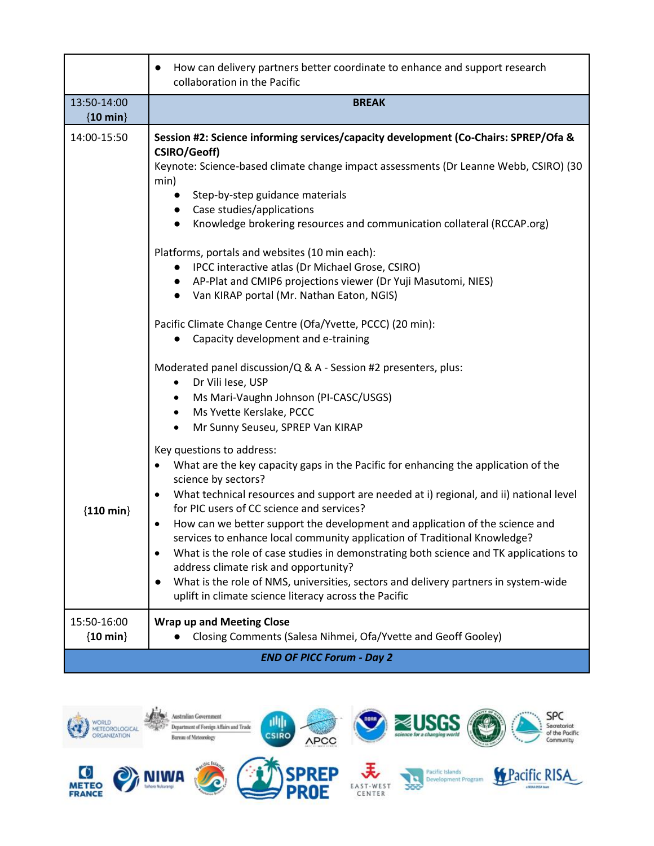|                                      | How can delivery partners better coordinate to enhance and support research<br>$\bullet$<br>collaboration in the Pacific                                                                                                                                                                                                                                                                                                                                                                                                                                                                                                                                                                                                                                                                                                                                                                    |  |
|--------------------------------------|---------------------------------------------------------------------------------------------------------------------------------------------------------------------------------------------------------------------------------------------------------------------------------------------------------------------------------------------------------------------------------------------------------------------------------------------------------------------------------------------------------------------------------------------------------------------------------------------------------------------------------------------------------------------------------------------------------------------------------------------------------------------------------------------------------------------------------------------------------------------------------------------|--|
| 13:50-14:00<br>$\{10 \text{ min}\}\$ | <b>BREAK</b>                                                                                                                                                                                                                                                                                                                                                                                                                                                                                                                                                                                                                                                                                                                                                                                                                                                                                |  |
| 14:00-15:50                          | Session #2: Science informing services/capacity development (Co-Chairs: SPREP/Ofa &<br>CSIRO/Geoff)<br>Keynote: Science-based climate change impact assessments (Dr Leanne Webb, CSIRO) (30<br>min)<br>Step-by-step guidance materials<br>$\bullet$<br>• Case studies/applications<br>Knowledge brokering resources and communication collateral (RCCAP.org)<br>$\bullet$<br>Platforms, portals and websites (10 min each):<br>IPCC interactive atlas (Dr Michael Grose, CSIRO)<br>AP-Plat and CMIP6 projections viewer (Dr Yuji Masutomi, NIES)<br>• Van KIRAP portal (Mr. Nathan Eaton, NGIS)<br>Pacific Climate Change Centre (Ofa/Yvette, PCCC) (20 min):<br>Capacity development and e-training<br>Moderated panel discussion/Q & A - Session #2 presenters, plus:<br>Dr Vili Iese, USP<br>$\bullet$<br>Ms Mari-Vaughn Johnson (PI-CASC/USGS)<br>Ms Yvette Kerslake, PCCC<br>$\bullet$ |  |
| ${110 min}$                          | Mr Sunny Seuseu, SPREP Van KIRAP<br>$\bullet$<br>Key questions to address:<br>What are the key capacity gaps in the Pacific for enhancing the application of the<br>science by sectors?<br>What technical resources and support are needed at i) regional, and ii) national level<br>for PIC users of CC science and services?<br>How can we better support the development and application of the science and<br>٠<br>services to enhance local community application of Traditional Knowledge?<br>What is the role of case studies in demonstrating both science and TK applications to<br>$\bullet$<br>address climate risk and opportunity?<br>What is the role of NMS, universities, sectors and delivery partners in system-wide<br>$\bullet$<br>uplift in climate science literacy across the Pacific                                                                                |  |
| 15:50-16:00<br>$\{10 \text{ min}\}\$ | <b>Wrap up and Meeting Close</b><br>Closing Comments (Salesa Nihmei, Ofa/Yvette and Geoff Gooley)                                                                                                                                                                                                                                                                                                                                                                                                                                                                                                                                                                                                                                                                                                                                                                                           |  |
| <b>END OF PICC Forum - Day 2</b>     |                                                                                                                                                                                                                                                                                                                                                                                                                                                                                                                                                                                                                                                                                                                                                                                                                                                                                             |  |

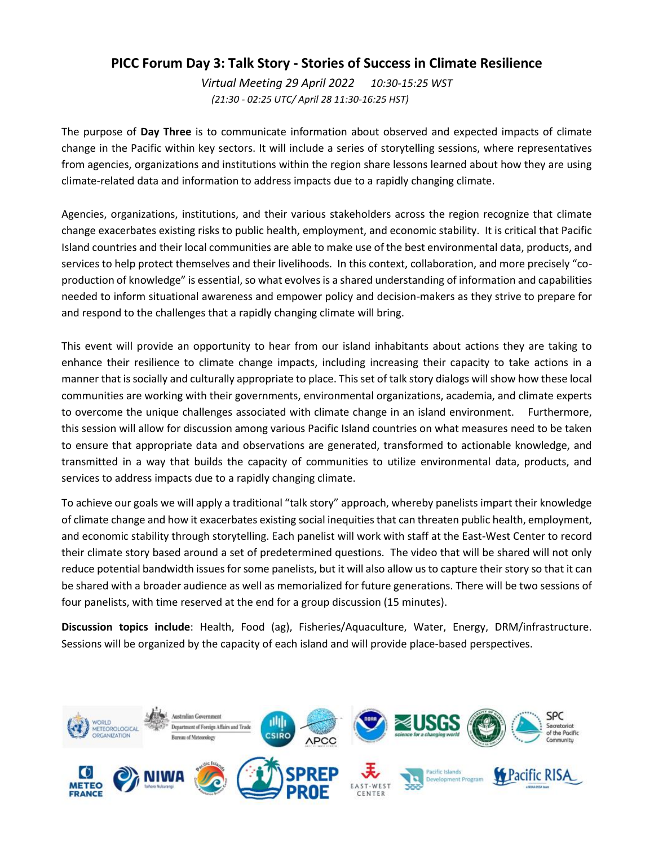## **PICC Forum Day 3: Talk Story - Stories of Success in Climate Resilience**

*Virtual Meeting 29 April 2022 10:30-15:25 WST (21:30 - 02:25 UTC/ April 28 11:30-16:25 HST)*

The purpose of **Day Three** is to communicate information about observed and expected impacts of climate change in the Pacific within key sectors. It will include a series of storytelling sessions, where representatives from agencies, organizations and institutions within the region share lessons learned about how they are using climate-related data and information to address impacts due to a rapidly changing climate.

Agencies, organizations, institutions, and their various stakeholders across the region recognize that climate change exacerbates existing risks to public health, employment, and economic stability. It is critical that Pacific Island countries and their local communities are able to make use of the best environmental data, products, and services to help protect themselves and their livelihoods. In this context, collaboration, and more precisely "coproduction of knowledge" is essential, so what evolves is a shared understanding of information and capabilities needed to inform situational awareness and empower policy and decision-makers as they strive to prepare for and respond to the challenges that a rapidly changing climate will bring.

This event will provide an opportunity to hear from our island inhabitants about actions they are taking to enhance their resilience to climate change impacts, including increasing their capacity to take actions in a manner that is socially and culturally appropriate to place. This set of talk story dialogs will show how these local communities are working with their governments, environmental organizations, academia, and climate experts to overcome the unique challenges associated with climate change in an island environment. Furthermore, this session will allow for discussion among various Pacific Island countries on what measures need to be taken to ensure that appropriate data and observations are generated, transformed to actionable knowledge, and transmitted in a way that builds the capacity of communities to utilize environmental data, products, and services to address impacts due to a rapidly changing climate.

To achieve our goals we will apply a traditional "talk story" approach, whereby panelists impart their knowledge of climate change and how it exacerbates existing social inequities that can threaten public health, employment, and economic stability through storytelling. Each panelist will work with staff at the East-West Center to record their climate story based around a set of predetermined questions. The video that will be shared will not only reduce potential bandwidth issues for some panelists, but it will also allow us to capture their story so that it can be shared with a broader audience as well as memorialized for future generations. There will be two sessions of four panelists, with time reserved at the end for a group discussion (15 minutes).

**Discussion topics include**: Health, Food (ag), Fisheries/Aquaculture, Water, Energy, DRM/infrastructure. Sessions will be organized by the capacity of each island and will provide place-based perspectives.

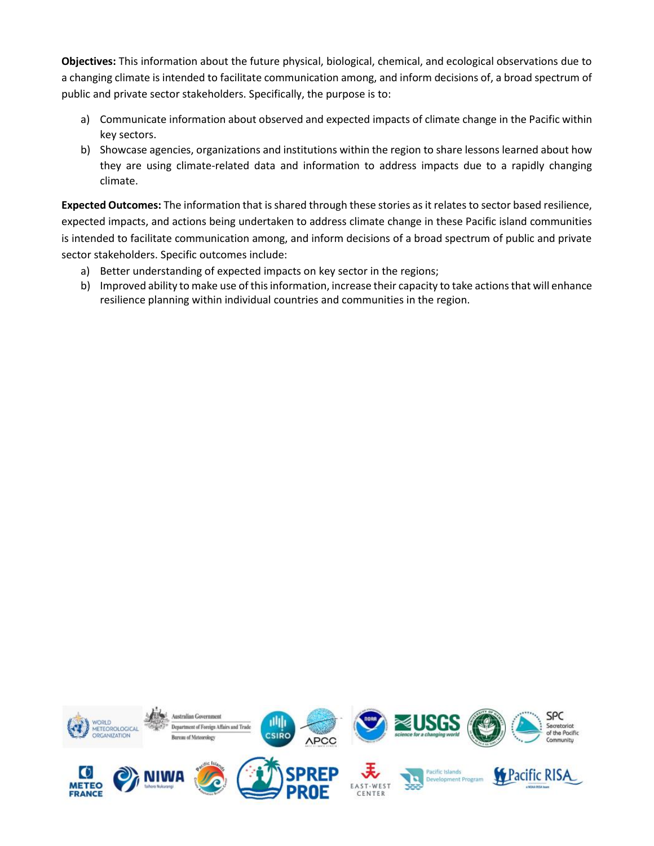**Objectives:** This information about the future physical, biological, chemical, and ecological observations due to a changing climate is intended to facilitate communication among, and inform decisions of, a broad spectrum of public and private sector stakeholders. Specifically, the purpose is to:

- a) Communicate information about observed and expected impacts of climate change in the Pacific within key sectors.
- b) Showcase agencies, organizations and institutions within the region to share lessons learned about how they are using climate-related data and information to address impacts due to a rapidly changing climate.

**Expected Outcomes:** The information that is shared through these stories as it relates to sector based resilience, expected impacts, and actions being undertaken to address climate change in these Pacific island communities is intended to facilitate communication among, and inform decisions of a broad spectrum of public and private sector stakeholders. Specific outcomes include:

- a) Better understanding of expected impacts on key sector in the regions;
- b) Improved ability to make use of this information, increase their capacity to take actions that will enhance resilience planning within individual countries and communities in the region.

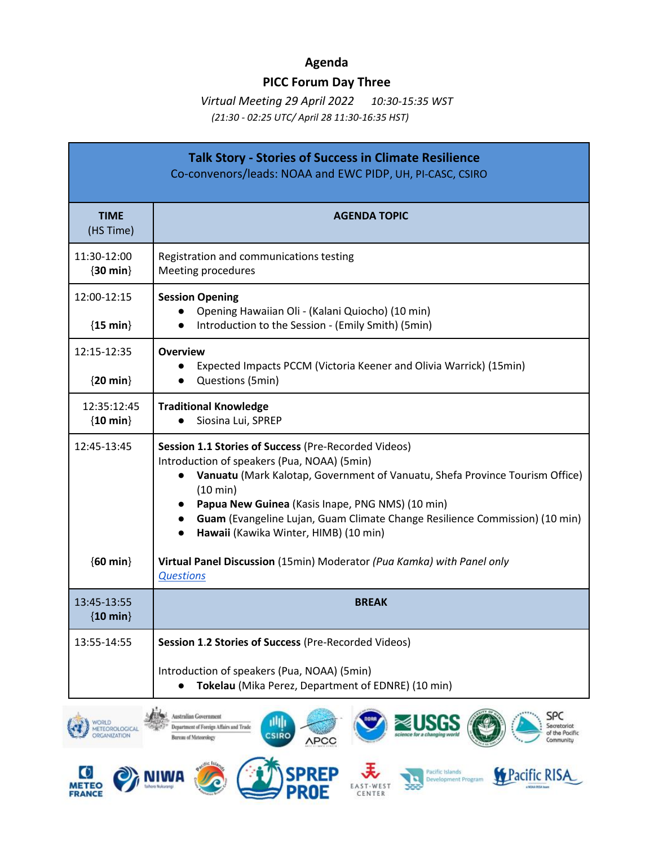# **Agenda**

#### **PICC Forum Day Three**

*Virtual Meeting 29 April 2022 10:30-15:35 WST (21:30 - 02:25 UTC/ April 28 11:30-16:35 HST)*

| <b>Talk Story - Stories of Success in Climate Resilience</b><br>Co-convenors/leads: NOAA and EWC PIDP, UH, PI-CASC, CSIRO |                                                                                                                                                                                                                                                                                                                                                                                          |  |
|---------------------------------------------------------------------------------------------------------------------------|------------------------------------------------------------------------------------------------------------------------------------------------------------------------------------------------------------------------------------------------------------------------------------------------------------------------------------------------------------------------------------------|--|
| <b>TIME</b><br>(HS Time)                                                                                                  | <b>AGENDA TOPIC</b>                                                                                                                                                                                                                                                                                                                                                                      |  |
| 11:30-12:00<br>$\{30 \text{ min}\}\$                                                                                      | Registration and communications testing<br>Meeting procedures                                                                                                                                                                                                                                                                                                                            |  |
| 12:00-12:15<br>$\{15 \text{ min}\}\$                                                                                      | <b>Session Opening</b><br>Opening Hawaiian Oli - (Kalani Quiocho) (10 min)<br>Introduction to the Session - (Emily Smith) (5min)<br>$\bullet$                                                                                                                                                                                                                                            |  |
| 12:15-12:35<br>${20 min}$                                                                                                 | <b>Overview</b><br>Expected Impacts PCCM (Victoria Keener and Olivia Warrick) (15min)<br>Questions (5min)                                                                                                                                                                                                                                                                                |  |
| 12:35:12:45<br>$\{10 \text{ min}\}\$                                                                                      | <b>Traditional Knowledge</b><br>Siosina Lui, SPREP                                                                                                                                                                                                                                                                                                                                       |  |
| 12:45-13:45                                                                                                               | Session 1.1 Stories of Success (Pre-Recorded Videos)<br>Introduction of speakers (Pua, NOAA) (5min)<br>Vanuatu (Mark Kalotap, Government of Vanuatu, Shefa Province Tourism Office)<br>$\bullet$<br>(10 min)<br>Papua New Guinea (Kasis Inape, PNG NMS) (10 min)<br>Guam (Evangeline Lujan, Guam Climate Change Resilience Commission) (10 min)<br>Hawaii (Kawika Winter, HIMB) (10 min) |  |
| ${60 min}$                                                                                                                | Virtual Panel Discussion (15min) Moderator (Pua Kamka) with Panel only<br><b>Questions</b>                                                                                                                                                                                                                                                                                               |  |
| 13:45-13:55<br>$\{10 \text{ min}\}\$                                                                                      | <b>BREAK</b>                                                                                                                                                                                                                                                                                                                                                                             |  |
| 13:55-14:55                                                                                                               | Session 1.2 Stories of Success (Pre-Recorded Videos)                                                                                                                                                                                                                                                                                                                                     |  |
|                                                                                                                           | Introduction of speakers (Pua, NOAA) (5min)<br>Tokelau (Mika Perez, Department of EDNRE) (10 min)                                                                                                                                                                                                                                                                                        |  |

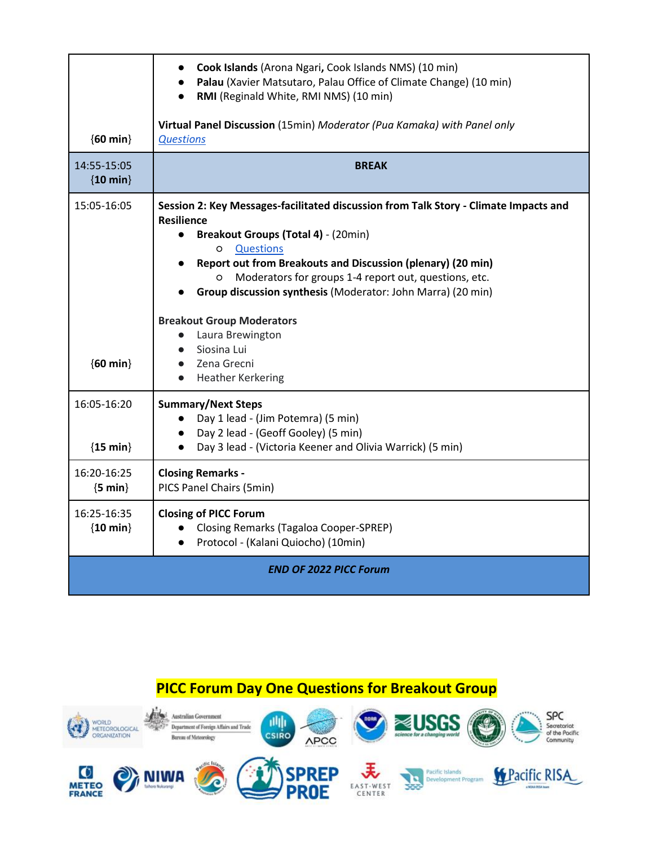|                                      | Cook Islands (Arona Ngari, Cook Islands NMS) (10 min)<br>Palau (Xavier Matsutaro, Palau Office of Climate Change) (10 min)<br>RMI (Reginald White, RMI NMS) (10 min)                                                                                                                                                                                                   |
|--------------------------------------|------------------------------------------------------------------------------------------------------------------------------------------------------------------------------------------------------------------------------------------------------------------------------------------------------------------------------------------------------------------------|
| ${60 min}$                           | Virtual Panel Discussion (15min) Moderator (Pua Kamaka) with Panel only<br><b>Questions</b>                                                                                                                                                                                                                                                                            |
| 14:55-15:05<br>$\{10 \text{ min}\}\$ | <b>BREAK</b>                                                                                                                                                                                                                                                                                                                                                           |
| 15:05-16:05                          | Session 2: Key Messages-facilitated discussion from Talk Story - Climate Impacts and<br><b>Resilience</b><br>Breakout Groups (Total 4) - (20min)<br><b>Questions</b><br>$\circ$<br>Report out from Breakouts and Discussion (plenary) (20 min)<br>Moderators for groups 1-4 report out, questions, etc.<br>Group discussion synthesis (Moderator: John Marra) (20 min) |
| ${60 min}$                           | <b>Breakout Group Moderators</b><br>Laura Brewington<br>Siosina Lui<br>Zena Grecni<br><b>Heather Kerkering</b>                                                                                                                                                                                                                                                         |
| 16:05-16:20<br>${15 min}$            | <b>Summary/Next Steps</b><br>Day 1 lead - (Jim Potemra) (5 min)<br>$\bullet$<br>• Day 2 lead - (Geoff Gooley) (5 min)<br>Day 3 lead - (Victoria Keener and Olivia Warrick) (5 min)<br>$\bullet$                                                                                                                                                                        |
| 16:20-16:25<br>${5 min}$             | <b>Closing Remarks -</b><br>PICS Panel Chairs (5min)                                                                                                                                                                                                                                                                                                                   |
| 16:25-16:35<br>$\{10 \text{ min}\}\$ | <b>Closing of PICC Forum</b><br><b>Closing Remarks (Tagaloa Cooper-SPREP)</b><br>Protocol - (Kalani Quiocho) (10min)                                                                                                                                                                                                                                                   |
| <b>END OF 2022 PICC Forum</b>        |                                                                                                                                                                                                                                                                                                                                                                        |

# **PICC Forum Day One Questions for Breakout Group**